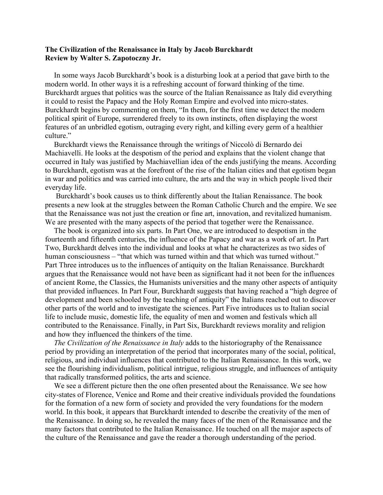## **The Civilization of the Renaissance in Italy by Jacob Burckhardt Review by Walter S. Zapotoczny Jr.**

In some ways Jacob Burckhardt's book is a disturbing look at a period that gave birth to the modern world. In other ways it is a refreshing account of forward thinking of the time. Burckhardt argues that politics was the source of the Italian Renaissance as Italy did everything it could to resist the Papacy and the Holy Roman Empire and evolved into micro-states. Burckhardt begins by commenting on them, "In them, for the first time we detect the modern political spirit of Europe, surrendered freely to its own instincts, often displaying the worst features of an unbridled egotism, outraging every right, and killing every germ of a healthier culture."

Burckhardt views the Renaissance through the writings of Niccolò di Bernardo dei Machiavelli. He looks at the despotism of the period and explains that the violent change that occurred in Italy was justified by Machiavellian idea of the ends justifying the means. According to Burckhardt, egotism was at the forefront of the rise of the Italian cities and that egotism began in war and politics and was carried into culture, the arts and the way in which people lived their everyday life.

Burckhardt's book causes us to think differently about the Italian Renaissance. The book presents a new look at the struggles between the Roman Catholic Church and the empire. We see that the Renaissance was not just the creation or fine art, innovation, and revitalized humanism. We are presented with the many aspects of the period that together were the Renaissance.

The book is organized into six parts. In Part One, we are introduced to despotism in the fourteenth and fifteenth centuries, the influence of the Papacy and war as a work of art. In Part Two, Burckhardt delves into the individual and looks at what he characterizes as two sides of human consciousness – "that which was turned within and that which was turned without." Part Three introduces us to the influences of antiquity on the Italian Renaissance. Burckhardt argues that the Renaissance would not have been as significant had it not been for the influences of ancient Rome, the Classics, the Humanists universities and the many other aspects of antiquity that provided influences. In Part Four, Burckhardt suggests that having reached a "high degree of development and been schooled by the teaching of antiquity" the Italians reached out to discover other parts of the world and to investigate the sciences. Part Five introduces us to Italian social life to include music, domestic life, the equality of men and women and festivals which all contributed to the Renaissance. Finally, in Part Six, Burckhardt reviews morality and religion and how they influenced the thinkers of the time.

*The Civilization of the Renaissance in Italy* adds to the historiography of the Renaissance period by providing an interpretation of the period that incorporates many of the social, political, religious, and individual influences that contributed to the Italian Renaissance. In this work, we see the flourishing individualism, political intrigue, religious struggle, and influences of antiquity that radically transformed politics, the arts and science.

We see a different picture then the one often presented about the Renaissance. We see how city-states of Florence, Venice and Rome and their creative individuals provided the foundations for the formation of a new form of society and provided the very foundations for the modern world. In this book, it appears that Burckhardt intended to describe the creativity of the men of the Renaissance. In doing so, he revealed the many faces of the men of the Renaissance and the many factors that contributed to the Italian Renaissance. He touched on all the major aspects of the culture of the Renaissance and gave the reader a thorough understanding of the period.